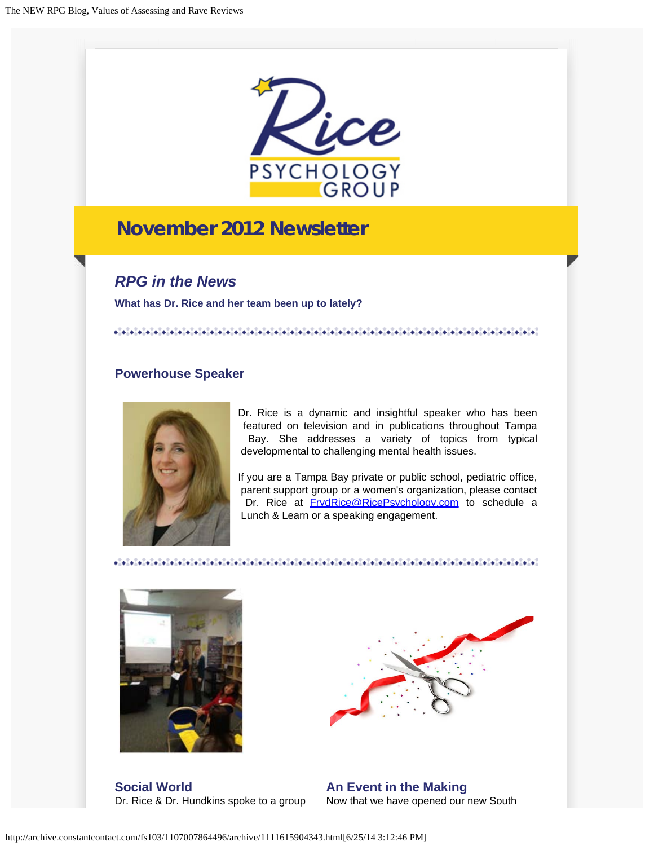

# **November 2012 Newsletter**

*RPG in the News*

**What has Dr. Rice and her team been up to lately?**

### **Powerhouse Speaker**



Dr. Rice is a dynamic and insightful speaker who has been featured on television and in publications throughout Tampa Bay. She addresses a variety of topics from typical developmental to challenging mental health issues.

If you are a Tampa Bay private or public school, pediatric office, parent support group or a women's organization, please contact Dr. Rice at **[FrydRice@RicePsychology.com](mailto:frydrice@ricepsychology.com)** to schedule a Lunch & Learn or a speaking engagement.



**Social World** Dr. Rice & Dr. Hundkins spoke to a group



**An Event in the Making** Now that we have opened our new South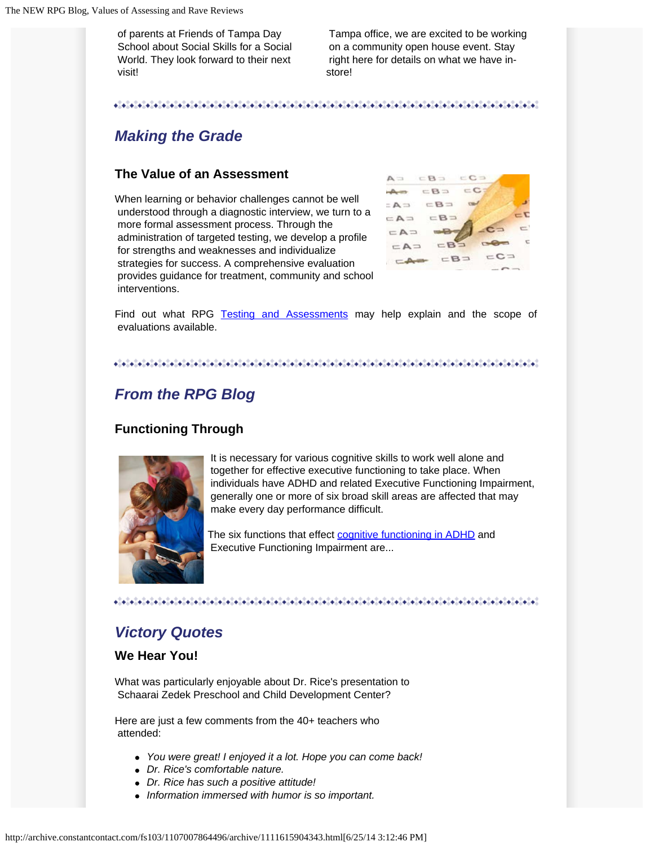of parents at Friends of Tampa Day School about Social Skills for a Social World. They look forward to their next visit!

 Tampa office, we are excited to be working on a community open house event. Stay right here for details on what we have instore!

# *Making the Grade*

### **The Value of an Assessment**

When learning or behavior challenges cannot be well understood through a diagnostic interview, we turn to a more formal assessment process. Through the administration of targeted testing, we develop a profile for strengths and weaknesses and individualize strategies for success. A comprehensive evaluation provides guidance for treatment, community and school interventions.



Find out what RPG [Testing and Assessments](http://ricepsychology.com/how-we-can-help/testing-assessment/) may help explain and the scope of evaluations available.

#### 

# *From the RPG Blog*

### **Functioning Through**



It is necessary for various cognitive skills to work well alone and together for effective executive functioning to take place. When individuals have ADHD and related Executive Functioning Impairment, generally one or more of six broad skill areas are affected that may make every day performance difficult.

The six functions that effect [cognitive functioning in ADHD](http://ricepsychology.com/six-functions/) and Executive Functioning Impairment are...

 $\mathcal{L}(\mathcal{A},\mathcal{A})=\mathcal{L}(\mathcal{A},\mathcal{A})=\mathcal{L}(\mathcal{A},\mathcal{A})=\mathcal{L}(\mathcal{A},\mathcal{A})=\mathcal{L}(\mathcal{A},\mathcal{A})=\mathcal{L}(\mathcal{A},\mathcal{A})=\mathcal{L}(\mathcal{A},\mathcal{A})=\mathcal{L}(\mathcal{A},\mathcal{A})=\mathcal{L}(\mathcal{A},\mathcal{A})=\mathcal{L}(\mathcal{A},\mathcal{A})=\mathcal{L}(\mathcal{A},\mathcal{A})=\mathcal{L}(\mathcal{A},\mathcal{A})=\mathcal{$ 

### *Victory Quotes*

#### **We Hear You!**

What was particularly enjoyable about Dr. Rice's presentation to Schaarai Zedek Preschool and Child Development Center?

Here are just a few comments from the 40+ teachers who attended:

- *You were great! I enjoyed it a lot. Hope you can come back!*
- *Dr. Rice's comfortable nature.*
- *Dr. Rice has such a positive attitude!*
- *Information immersed with humor is so important.*